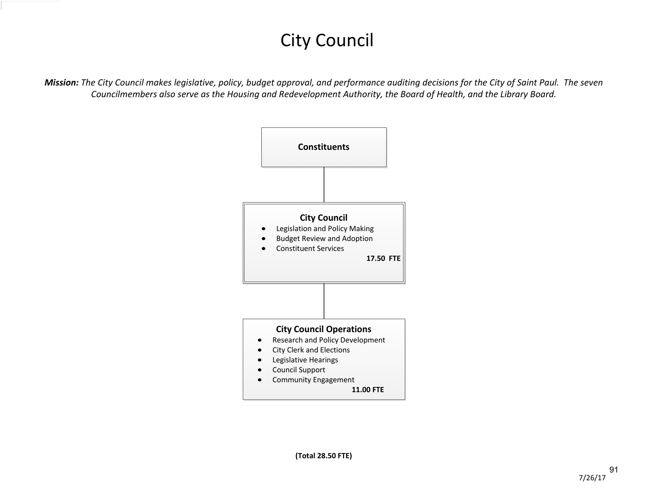## City Council

*Mission: The City Council makes legislative, policy, budget approval, and performance auditing decisions for the City of Saint Paul. The seven Councilmembers also serve as the Housing and Redevelopment Authority, the Board of Health, and the Library Board.*

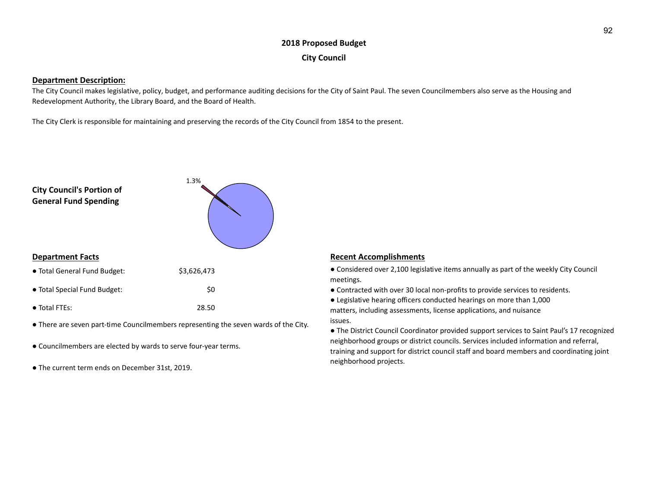## **2018 Proposed Budget City Council**

### **Department Description:**

The City Council makes legislative, policy, budget, and performance auditing decisions for the City of Saint Paul. The seven Councilmembers also serve as the Housing and Redevelopment Authority, the Library Board, and the Board of Health.

The City Clerk is responsible for maintaining and preserving the records of the City Council from 1854 to the present.



- There are seven part-time Councilmembers representing the seven wards of the City.
- Councilmembers are elected by wards to serve four-year terms.
- The current term ends on December 31st, 2019.

● Considered over 2,100 legislative items annually as part of the weekly City Council meetings.

● Contracted with over 30 local non-profits to provide services to residents.

● Legislative hearing officers conducted hearings on more than 1,000 matters, including assessments, license applications, and nuisance issues.

● The District Council Coordinator provided support services to Saint Paul's 17 recognized neighborhood groups or district councils. Services included information and referral, training and support for district council staff and board members and coordinating joint neighborhood projects.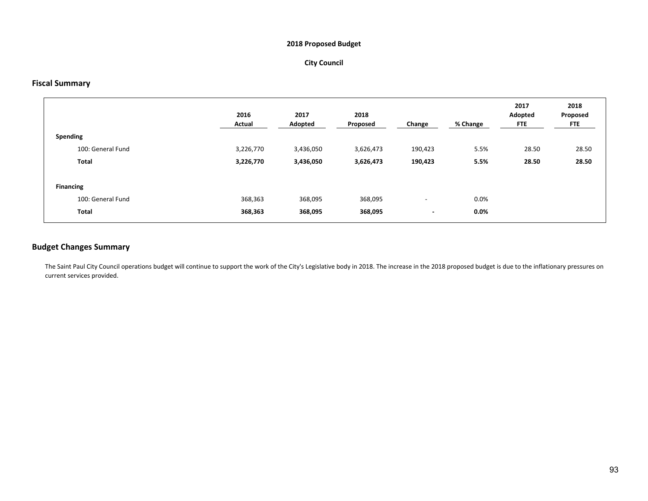## **2018 Proposed Budget**

## **City Council**

## **Fiscal Summary**

|                  |                   | 2016<br>Actual | 2017<br>Adopted | 2018<br>Proposed | Change                   | % Change | 2017<br>Adopted<br><b>FTE</b> | 2018<br>Proposed<br><b>FTE</b> |
|------------------|-------------------|----------------|-----------------|------------------|--------------------------|----------|-------------------------------|--------------------------------|
| Spending         |                   |                |                 |                  |                          |          |                               |                                |
|                  | 100: General Fund | 3,226,770      | 3,436,050       | 3,626,473        | 190,423                  | 5.5%     | 28.50                         | 28.50                          |
|                  | Total             | 3,226,770      | 3,436,050       | 3,626,473        | 190,423                  | 5.5%     | 28.50                         | 28.50                          |
|                  |                   |                |                 |                  |                          |          |                               |                                |
| <b>Financing</b> |                   |                |                 |                  |                          |          |                               |                                |
|                  | 100: General Fund | 368,363        | 368,095         | 368,095          | $\overline{\phantom{a}}$ | 0.0%     |                               |                                |
|                  | Total             | 368,363        | 368,095         | 368,095          | $\overline{\phantom{a}}$ | $0.0\%$  |                               |                                |
|                  |                   |                |                 |                  |                          |          |                               |                                |

## **Budget Changes Summary**

The Saint Paul City Council operations budget will continue to support the work of the City's Legislative body in 2018. The increase in the 2018 proposed budget is due to the inflationary pressures on current services provided.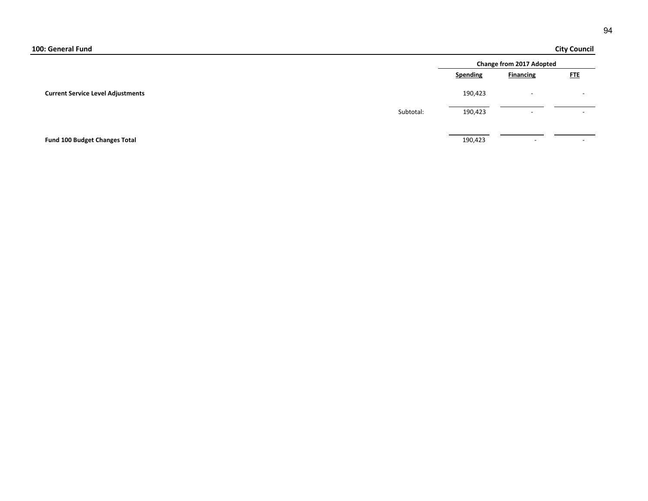## **City Council**

|                                          |           |                 | <b>Change from 2017 Adopted</b> |                          |  |
|------------------------------------------|-----------|-----------------|---------------------------------|--------------------------|--|
|                                          |           | <b>Spending</b> | <b>Financing</b>                | <b>FTE</b>               |  |
| <b>Current Service Level Adjustments</b> |           | 190,423         |                                 |                          |  |
|                                          | Subtotal: | 190,423         | $\overline{\phantom{0}}$        | $\overline{\phantom{0}}$ |  |
|                                          |           |                 |                                 |                          |  |
| Fund 100 Budget Changes Total            |           | 190,423         | $\overline{\phantom{0}}$        | $\overline{\phantom{0}}$ |  |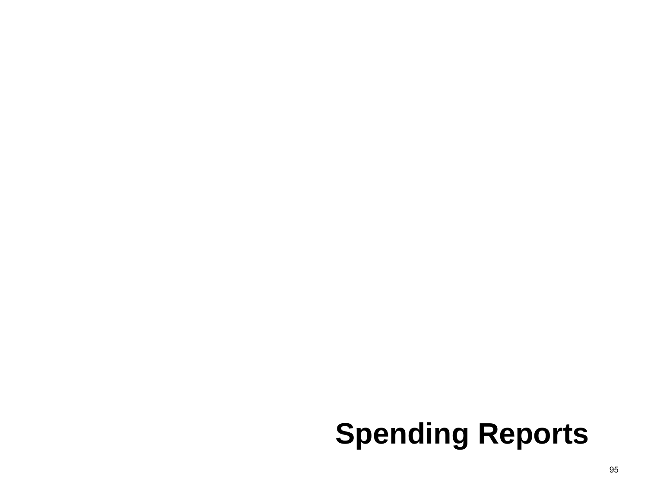# **Spending Reports**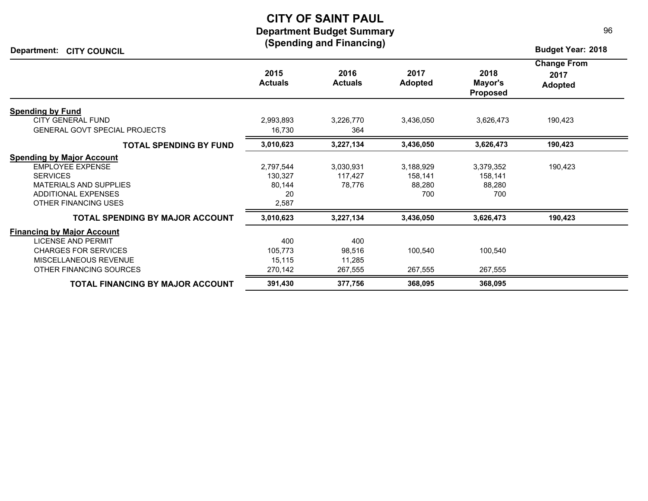## **CITY OF SAINT PAUL Department Budget Summary (Spending and Financing)**

**Department: Budget Year: 2018 CITY COUNCIL**

|                                        | 2015<br><b>Actuals</b> | 2016<br><b>Actuals</b> | 2017<br><b>Adopted</b> | 2018<br>Mayor's<br><b>Proposed</b> | <b>Change From</b><br>2017<br><b>Adopted</b> |
|----------------------------------------|------------------------|------------------------|------------------------|------------------------------------|----------------------------------------------|
| <b>Spending by Fund</b>                |                        |                        |                        |                                    |                                              |
| <b>CITY GENERAL FUND</b>               | 2,993,893              | 3,226,770              | 3,436,050              | 3,626,473                          | 190,423                                      |
| <b>GENERAL GOVT SPECIAL PROJECTS</b>   | 16,730                 | 364                    |                        |                                    |                                              |
| <b>TOTAL SPENDING BY FUND</b>          | 3,010,623              | 3,227,134              | 3,436,050              | 3,626,473                          | 190,423                                      |
| <b>Spending by Major Account</b>       |                        |                        |                        |                                    |                                              |
| <b>EMPLOYEE EXPENSE</b>                | 2,797,544              | 3,030,931              | 3,188,929              | 3,379,352                          | 190,423                                      |
| <b>SERVICES</b>                        | 130,327                | 117,427                | 158,141                | 158,141                            |                                              |
| <b>MATERIALS AND SUPPLIES</b>          | 80,144                 | 78,776                 | 88,280                 | 88,280                             |                                              |
| <b>ADDITIONAL EXPENSES</b>             | 20                     |                        | 700                    | 700                                |                                              |
| OTHER FINANCING USES                   | 2,587                  |                        |                        |                                    |                                              |
| <b>TOTAL SPENDING BY MAJOR ACCOUNT</b> | 3,010,623              | 3,227,134              | 3,436,050              | 3,626,473                          | 190,423                                      |
| <b>Financing by Major Account</b>      |                        |                        |                        |                                    |                                              |
| <b>LICENSE AND PERMIT</b>              | 400                    | 400                    |                        |                                    |                                              |
| <b>CHARGES FOR SERVICES</b>            | 105,773                | 98,516                 | 100,540                | 100,540                            |                                              |
| MISCELLANEOUS REVENUE                  | 15,115                 | 11,285                 |                        |                                    |                                              |
| OTHER FINANCING SOURCES                | 270,142                | 267,555                | 267,555                | 267,555                            |                                              |
| TOTAL FINANCING BY MAJOR ACCOUNT       | 391,430                | 377,756                | 368,095                | 368,095                            |                                              |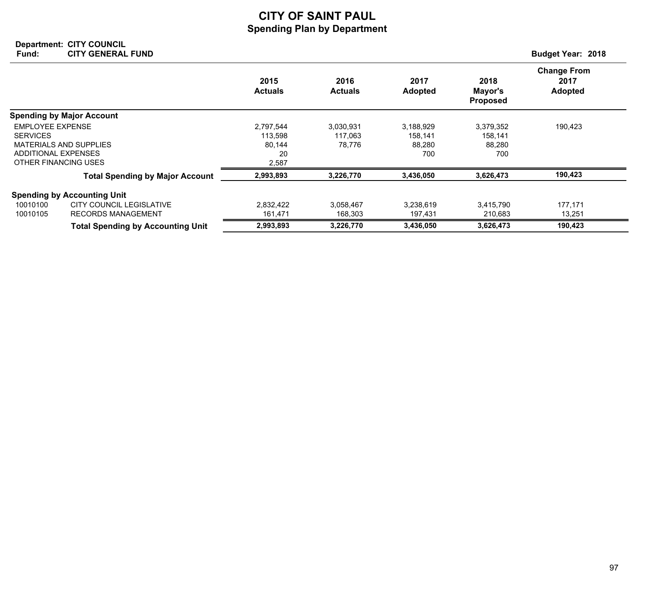## **CITY OF SAINT PAUL Spending Plan by Department**

#### **Department: Fund: Budget Year: 2018 CITY COUNCIL CITY GENERAL FUND**

|                                                                   |                                                       | 2015<br><b>Actuals</b>                        | 2016<br><b>Actuals</b>         | 2017<br><b>Adopted</b>                | 2018<br>Mayor's<br><b>Proposed</b>    | <b>Change From</b><br>2017<br><b>Adopted</b> |
|-------------------------------------------------------------------|-------------------------------------------------------|-----------------------------------------------|--------------------------------|---------------------------------------|---------------------------------------|----------------------------------------------|
|                                                                   | <b>Spending by Major Account</b>                      |                                               |                                |                                       |                                       |                                              |
| <b>EMPLOYEE EXPENSE</b><br><b>SERVICES</b><br>ADDITIONAL EXPENSES | <b>MATERIALS AND SUPPLIES</b><br>OTHER FINANCING USES | 2,797,544<br>113,598<br>80,144<br>20<br>2,587 | 3,030,931<br>117,063<br>78,776 | 3,188,929<br>158,141<br>88,280<br>700 | 3,379,352<br>158,141<br>88,280<br>700 | 190,423                                      |
|                                                                   | <b>Total Spending by Major Account</b>                | 2,993,893                                     | 3,226,770                      | 3,436,050                             | 3,626,473                             | 190,423                                      |
|                                                                   | <b>Spending by Accounting Unit</b>                    |                                               |                                |                                       |                                       |                                              |
| 10010100<br>10010105                                              | CITY COUNCIL LEGISLATIVE<br><b>RECORDS MANAGEMENT</b> | 2,832,422<br>161,471                          | 3,058,467<br>168,303           | 3,238,619<br>197,431                  | 3,415,790<br>210,683                  | 177,171<br>13,251                            |
|                                                                   | <b>Total Spending by Accounting Unit</b>              | 2,993,893                                     | 3,226,770                      | 3,436,050                             | 3,626,473                             | 190,423                                      |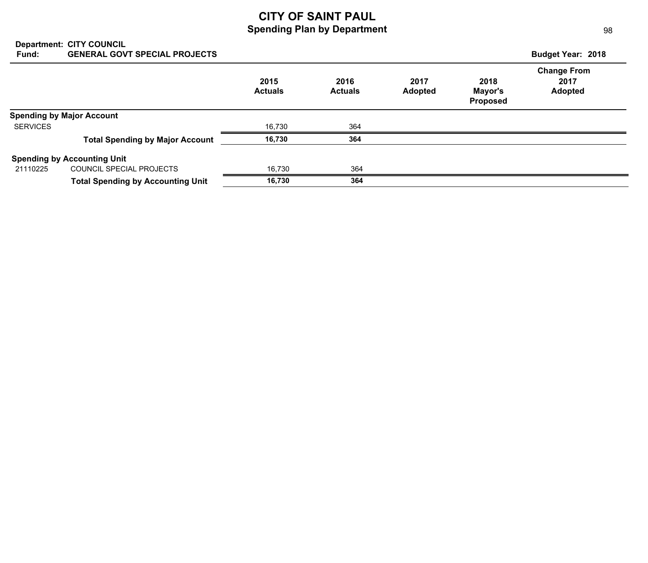## **CITY OF SAINT PAUL Spending Plan by Department**

| Fund:           | <b>Department: CITY COUNCIL</b><br><b>GENERAL GOVT SPECIAL PROJECTS</b> |                        |                        |                        |                                    | <b>Budget Year: 2018</b>                     |
|-----------------|-------------------------------------------------------------------------|------------------------|------------------------|------------------------|------------------------------------|----------------------------------------------|
|                 |                                                                         | 2015<br><b>Actuals</b> | 2016<br><b>Actuals</b> | 2017<br><b>Adopted</b> | 2018<br>Mayor's<br><b>Proposed</b> | <b>Change From</b><br>2017<br><b>Adopted</b> |
|                 | <b>Spending by Major Account</b>                                        |                        |                        |                        |                                    |                                              |
| <b>SERVICES</b> |                                                                         | 16,730                 | 364                    |                        |                                    |                                              |
|                 | <b>Total Spending by Major Account</b>                                  | 16,730                 | 364                    |                        |                                    |                                              |
|                 | <b>Spending by Accounting Unit</b>                                      |                        |                        |                        |                                    |                                              |
| 21110225        | COUNCIL SPECIAL PROJECTS                                                | 16.730                 | 364                    |                        |                                    |                                              |
|                 | <b>Total Spending by Accounting Unit</b>                                | 16.730                 | 364                    |                        |                                    |                                              |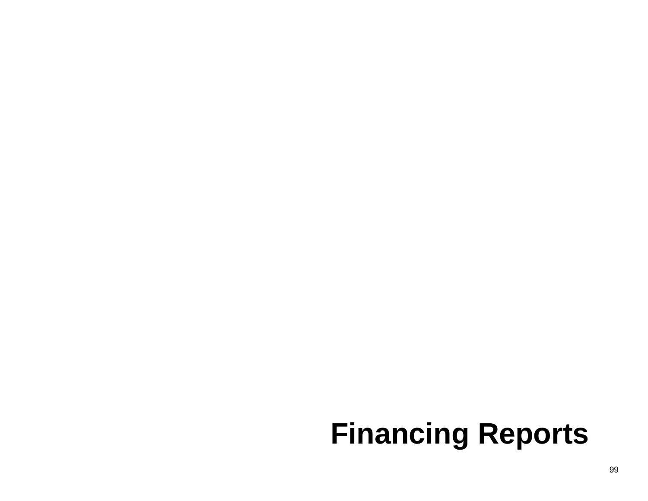# **Financing Reports**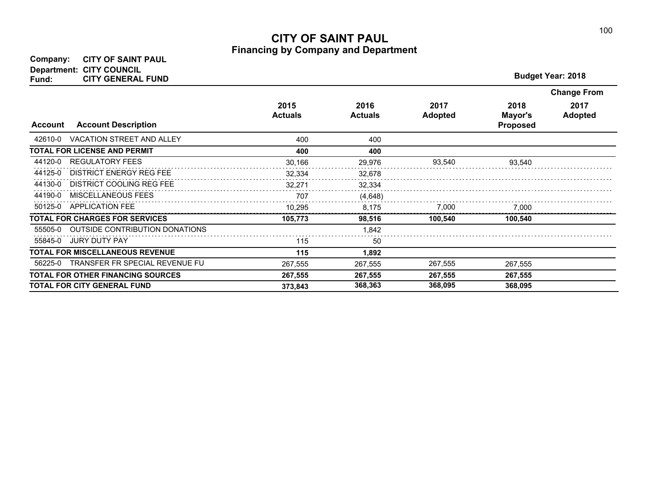## **CITY OF SAINT PAUL Financing by Company and Department**

| <b>Budget Year: 2018</b> |  |
|--------------------------|--|
|                          |  |

|                |                                          |                        |                        |                        |                                    | <b>Change From</b>     |
|----------------|------------------------------------------|------------------------|------------------------|------------------------|------------------------------------|------------------------|
| <b>Account</b> | <b>Account Description</b>               | 2015<br><b>Actuals</b> | 2016<br><b>Actuals</b> | 2017<br><b>Adopted</b> | 2018<br>Mayor's<br><b>Proposed</b> | 2017<br><b>Adopted</b> |
| 42610-0        | <b>VACATION STREET AND ALLEY</b>         | 400                    | 400                    |                        |                                    |                        |
|                | <b>TOTAL FOR LICENSE AND PERMIT</b>      | 400                    | 400                    |                        |                                    |                        |
| 44120-0        | <b>REGULATORY FEES</b>                   | 30,166                 | 29,976                 | 93,540                 | 93,540                             |                        |
| 44125-0        | <b>DISTRICT ENERGY REG FEE</b>           | 32,334                 | 32,678                 |                        |                                    |                        |
| 44130-0        | <b>DISTRICT COOLING REG FEE</b>          | 32,271                 | 32,334                 |                        |                                    |                        |
| 44190-0        | <b>MISCELLANEOUS FEES</b>                | 707                    | (4,648)                |                        |                                    |                        |
| 50125-0        | <b>APPLICATION FEE</b>                   | 10,295                 | 8,175                  | 7,000                  | 7,000                              |                        |
|                | <b>TOTAL FOR CHARGES FOR SERVICES</b>    | 105,773                | 98,516                 | 100.540                | 100,540                            |                        |
| 55505-0        | <b>OUTSIDE CONTRIBUTION DONATIONS</b>    |                        | 1,842                  |                        |                                    |                        |
| 55845-0        | <b>JURY DUTY PAY</b>                     | 115                    | 50                     |                        |                                    |                        |
|                | <b>TOTAL FOR MISCELLANEOUS REVENUE</b>   | 115                    | 1,892                  |                        |                                    |                        |
| 56225-0        | TRANSFER FR SPECIAL REVENUE FU           | 267,555                | 267,555                | 267,555                | 267,555                            |                        |
|                | <b>TOTAL FOR OTHER FINANCING SOURCES</b> | 267,555                | 267,555                | 267,555                | 267,555                            |                        |
|                | <b>TOTAL FOR CITY GENERAL FUND</b>       | 373.843                | 368,363                | 368,095                | 368,095                            |                        |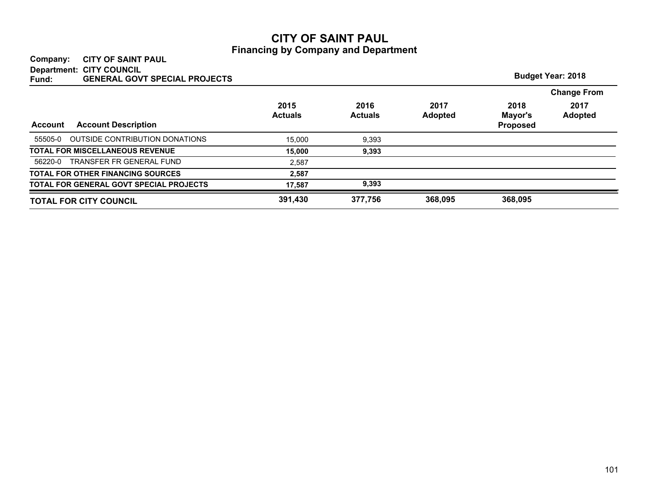## **CITY OF SAINT PAUL Financing by Company and Department**

## **Company: CITY OF SAINT PAUL Department: CITY COUNCIL**

| Department: UTT COUNCIL<br><b>GENERAL GOVT SPECIAL PROJECTS</b><br>Fund: |                        |                        |                        |                                    | <b>Budget Year: 2018</b> |
|--------------------------------------------------------------------------|------------------------|------------------------|------------------------|------------------------------------|--------------------------|
|                                                                          |                        |                        |                        |                                    | <b>Change From</b>       |
| <b>Account Description</b><br><b>Account</b>                             | 2015<br><b>Actuals</b> | 2016<br><b>Actuals</b> | 2017<br><b>Adopted</b> | 2018<br>Mayor's<br><b>Proposed</b> | 2017<br><b>Adopted</b>   |
| OUTSIDE CONTRIBUTION DONATIONS<br>55505-0                                | 15.000                 | 9,393                  |                        |                                    |                          |
| <b>TOTAL FOR MISCELLANEOUS REVENUE</b>                                   | 15.000                 | 9,393                  |                        |                                    |                          |
| TRANSFER FR GENERAL FUND<br>56220-0                                      | 2.587                  |                        |                        |                                    |                          |
| <b>TOTAL FOR OTHER FINANCING SOURCES</b>                                 | 2,587                  |                        |                        |                                    |                          |
| TOTAL FOR GENERAL GOVT SPECIAL PROJECTS                                  | 17,587                 | 9,393                  |                        |                                    |                          |
| <b>TOTAL FOR CITY COUNCIL</b>                                            | 391,430                | 377,756                | 368,095                | 368,095                            |                          |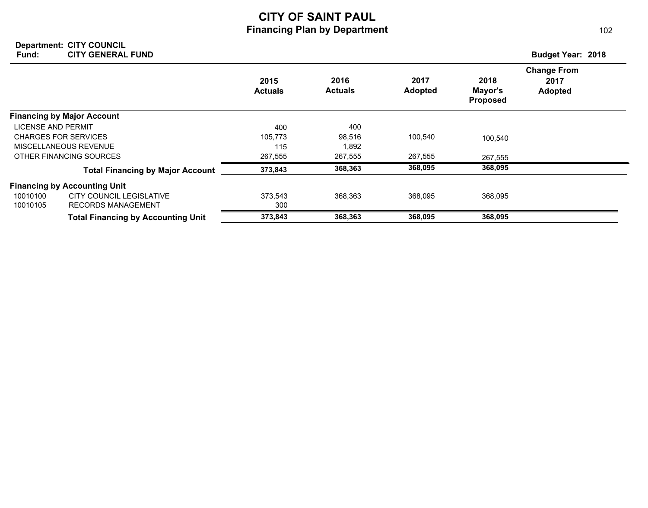## **CITY OF SAINT PAUL Financing Plan by Department**

#### **Department: Fund: Budget Year: 2018 CITY COUNCIL CITY GENERAL FUND**

|                             |                                           | 2015<br><b>Actuals</b> | 2016<br><b>Actuals</b> | 2017<br><b>Adopted</b> | 2018<br>Mayor's<br><b>Proposed</b> | <b>Change From</b><br>2017<br><b>Adopted</b> |
|-----------------------------|-------------------------------------------|------------------------|------------------------|------------------------|------------------------------------|----------------------------------------------|
|                             | <b>Financing by Major Account</b>         |                        |                        |                        |                                    |                                              |
| LICENSE AND PERMIT          |                                           | 400                    | 400                    |                        |                                    |                                              |
| <b>CHARGES FOR SERVICES</b> |                                           | 105.773                | 98,516                 | 100,540                | 100,540                            |                                              |
| MISCELLANEOUS REVENUE       |                                           | 115                    | 1,892                  |                        |                                    |                                              |
|                             | OTHER FINANCING SOURCES                   | 267,555                | 267,555                | 267,555                | 267,555                            |                                              |
|                             | <b>Total Financing by Major Account</b>   | 373,843                | 368,363                | 368,095                | 368,095                            |                                              |
|                             | <b>Financing by Accounting Unit</b>       |                        |                        |                        |                                    |                                              |
| 10010100                    | <b>CITY COUNCIL LEGISLATIVE</b>           | 373,543                | 368,363                | 368,095                | 368,095                            |                                              |
| 10010105                    | <b>RECORDS MANAGEMENT</b>                 | 300                    |                        |                        |                                    |                                              |
|                             | <b>Total Financing by Accounting Unit</b> | 373,843                | 368,363                | 368,095                | 368,095                            |                                              |